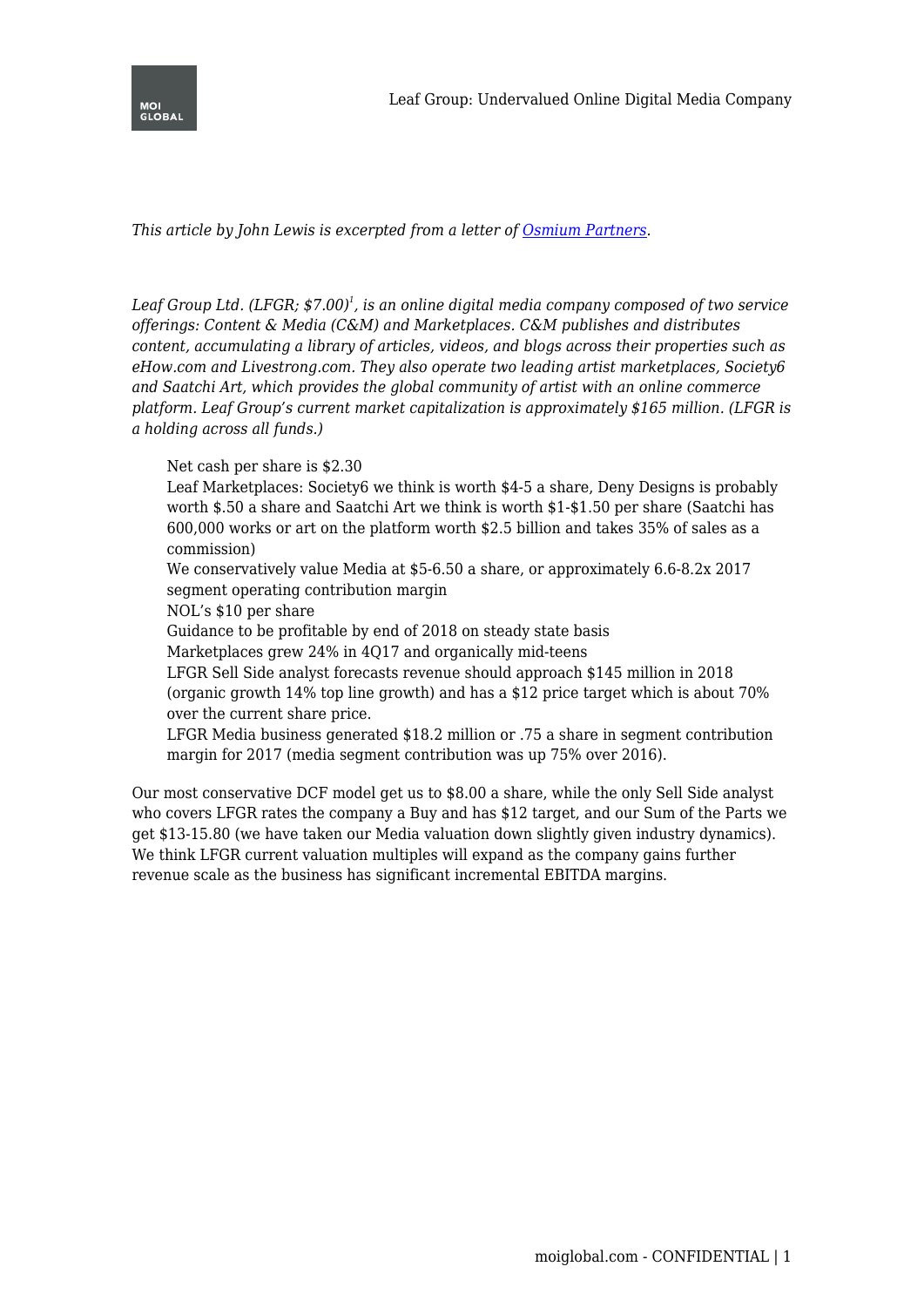

*This article by John Lewis is excerpted from a letter of [Osmium Partners.](http://www.osmiumpartners.com/)*

*Leaf Group Ltd. (LFGR; \$7.00)<sup>1</sup> , is an online digital media company composed of two service offerings: Content & Media (C&M) and Marketplaces. C&M publishes and distributes content, accumulating a library of articles, videos, and blogs across their properties such as eHow.com and Livestrong.com. They also operate two leading artist marketplaces, Society6 and Saatchi Art, which provides the global community of artist with an online commerce platform. Leaf Group's current market capitalization is approximately \$165 million. (LFGR is a holding across all funds.)*

Net cash per share is \$2.30

Leaf Marketplaces: Society6 we think is worth \$4-5 a share, Deny Designs is probably worth \$.50 a share and Saatchi Art we think is worth \$1-\$1.50 per share (Saatchi has 600,000 works or art on the platform worth \$2.5 billion and takes 35% of sales as a commission)

We conservatively value Media at \$5-6.50 a share, or approximately 6.6-8.2x 2017 segment operating contribution margin

NOL's \$10 per share

Guidance to be profitable by end of 2018 on steady state basis

Marketplaces grew 24% in 4Q17 and organically mid-teens

LFGR Sell Side analyst forecasts revenue should approach \$145 million in 2018 (organic growth 14% top line growth) and has a \$12 price target which is about 70% over the current share price.

LFGR Media business generated \$18.2 million or .75 a share in segment contribution margin for 2017 (media segment contribution was up 75% over 2016).

Our most conservative DCF model get us to \$8.00 a share, while the only Sell Side analyst who covers LFGR rates the company a Buy and has \$12 target, and our Sum of the Parts we get \$13-15.80 (we have taken our Media valuation down slightly given industry dynamics). We think LFGR current valuation multiples will expand as the company gains further revenue scale as the business has significant incremental EBITDA margins.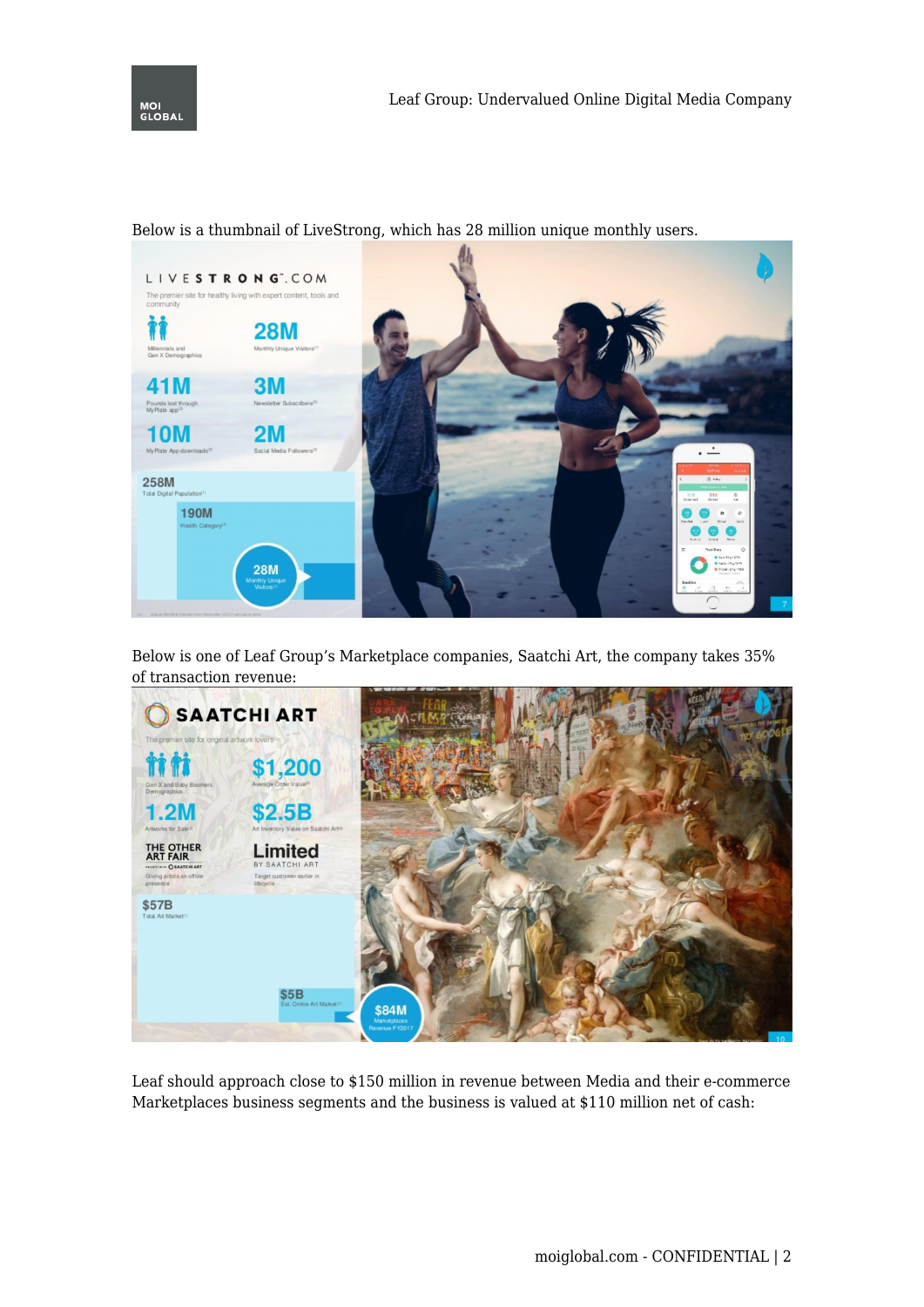



Below is a thumbnail of LiveStrong, which has 28 million unique monthly users.

Below is one of Leaf Group's Marketplace companies, Saatchi Art, the company takes 35% of transaction revenue:



Leaf should approach close to \$150 million in revenue between Media and their e-commerce Marketplaces business segments and the business is valued at \$110 million net of cash: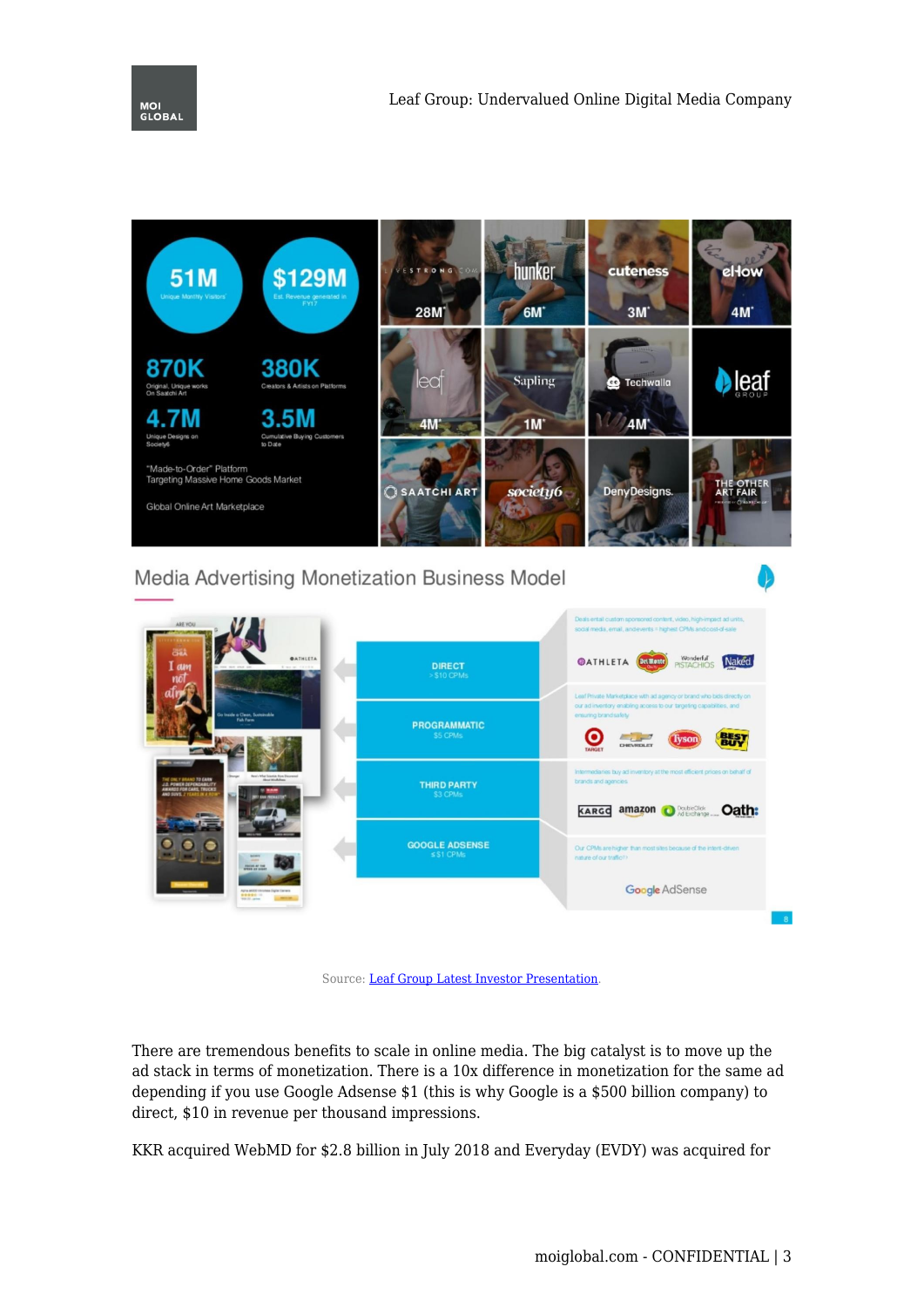

## Media Advertising Monetization Business Model



Source: [Leaf Group Latest Investor Presentation](http://s1.q4cdn.com/725197287/files/doc_presentations/2017/LG_IR_Deck_Update-030118-FINAL-FOR-DISTRIBUTION.pdf).

There are tremendous benefits to scale in online media. The big catalyst is to move up the ad stack in terms of monetization. There is a 10x difference in monetization for the same ad depending if you use Google Adsense \$1 (this is why Google is a \$500 billion company) to direct, \$10 in revenue per thousand impressions.

KKR acquired WebMD for \$2.8 billion in July 2018 and Everyday (EVDY) was acquired for